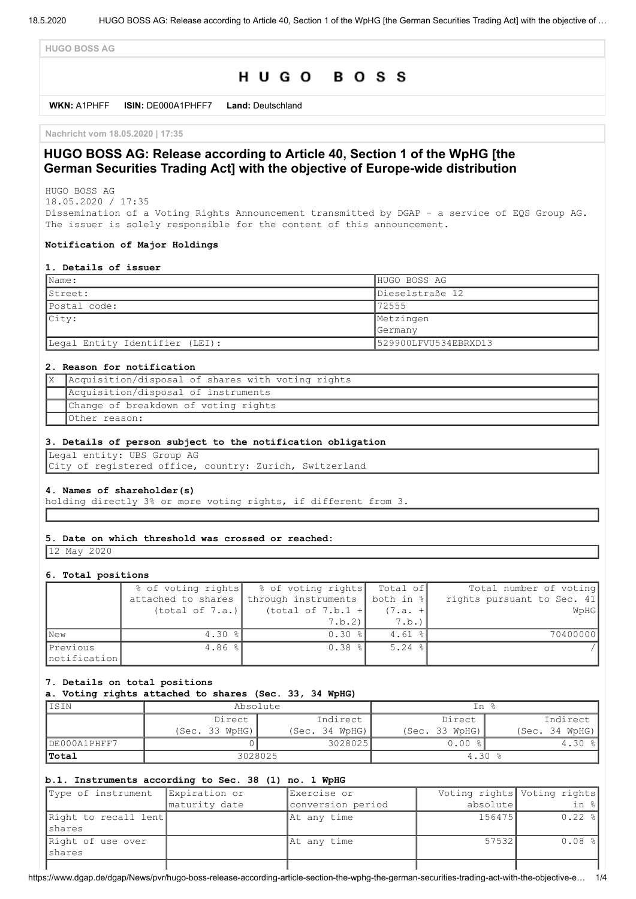**HUGO BOSS AG**

# HUGO BOSS

**WKN:** A1PHFF **ISIN:** DE000A1PHFF7 **Land:** Deutschland

**Nachricht vom 18.05.2020 | 17:35**

# **HUGO BOSS AG: Release according to Article 40, Section 1 of the WpHG [the German Securities Trading Act] with the objective of Europe-wide distribution**

HUGO BOSS AG 18.05.2020 / 17:35

Dissemination of a Voting Rights Announcement transmitted by DGAP - a service of EQS Group AG. The issuer is solely responsible for the content of this announcement.

#### **Notification of Major Holdings**

#### **1. Details of issuer**

| $\blacksquare$ Name:           | HUGO BOSS AG         |
|--------------------------------|----------------------|
| Street:                        | Dieselstraße 12      |
| Postal code:                   | 72555                |
| $ $ City:                      | Metzingen            |
|                                | Germany              |
| Legal Entity Identifier (LEI): | 529900LFVU534EBRXD13 |

### **2. Reason for notification**

| Acquisition/disposal of shares with voting rights |
|---------------------------------------------------|
| Acquisition/disposal of instruments               |
| Change of breakdown of voting rights              |
| Other reason:                                     |

#### **3. Details of person subject to the notification obligation**

Legal entity: UBS Group AG City of registered office, country: Zurich, Switzerland

#### **4. Names of shareholder(s)**

holding directly 3% or more voting rights, if different from 3.

#### **5. Date on which threshold was crossed or reached:**

12 May 2020

#### **6. Total positions**

|              | % of voting rights | % of voting rights  | Total of  | Total number of voting     |
|--------------|--------------------|---------------------|-----------|----------------------------|
|              | attached to shares | through instruments | both in % | rights pursuant to Sec. 41 |
|              | (total of 7.a.)    | (total of $7.b.1 +$ | $(7.a. +$ | WpHG                       |
|              |                    | 7.b.2               | 7.b.      |                            |
| <b>New</b>   | $4.30$ $ $         | $0.30$ $ $          | $4.61$ %  | 70400000                   |
| Previous     | 4.86 $\frac{8}{3}$ | $0.38$ %            | $5.24$ %  |                            |
| notification |                    |                     |           |                            |

#### **7. Details on total positions**

#### **a. Voting rights attached to shares (Sec. 33, 34 WpHG)**

| IISIN        | Absolute       |                | In %           |                |
|--------------|----------------|----------------|----------------|----------------|
|              | Direct         | Indirect       | Direct         | Indirect       |
|              | (Sec. 33 WpHG) | (Sec. 34 WPHG) | (Sec. 33 WpHG) | (Sec. 34 WPHG) |
| DE000A1PHFF7 |                | 3028025        | 0.00           | $4.30$ $8$     |
| 'Total       | 3028025        |                | 4.30           |                |

## **b.1. Instruments according to Sec. 38 (1) no. 1 WpHG**

| Type of instrument              | Expiration or | Exercise or       |          | Voting rights Voting rights |
|---------------------------------|---------------|-------------------|----------|-----------------------------|
|                                 | maturity date | conversion period | absolute | in %                        |
| Right to recall lent<br>Ishares |               | At any time       | 156475   | $0.22$ $\frac{8}{1}$        |
| Right of use over<br>Ishares    |               | At any time       | 575321   | $0.08$ %                    |
|                                 |               |                   |          |                             |

https://www.dgap.de/dgap/News/pvr/hugo-boss-release-according-article-section-the-wphg-the-german-securities-trading-act-with-the-objective-e… 1/4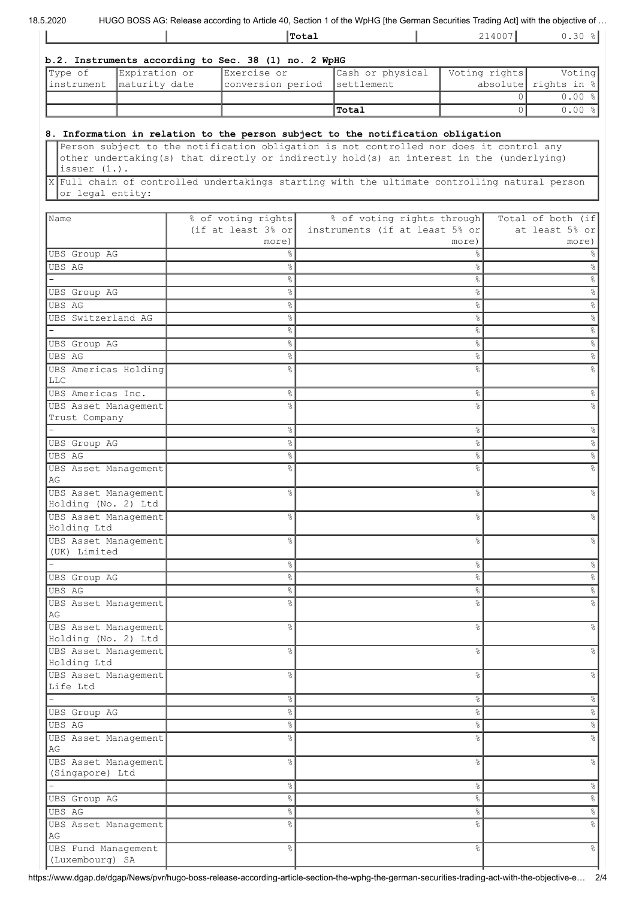HUGO BOSS AG: Release according to Article 40, Section 1 of the WpHG [the German Securities Trading Act] with the objective of ...

|  | lTotal | $\Delta$<br>$- + -$<br>. | $\sim$ $\sim$<br>1.30<br>. |
|--|--------|--------------------------|----------------------------|
|  |        |                          |                            |

| b.2. Instruments according to Sec. 38 (1) no. 2 WpHG |               |                              |                  |               |                         |  |
|------------------------------------------------------|---------------|------------------------------|------------------|---------------|-------------------------|--|
| $ $ Type of                                          | Expiration or | Exercise or                  | Cash or physical | Voting rights | Voting                  |  |
| linstrument                                          | maturity date | conversion period settlement |                  |               | absolute rights in $\ $ |  |
|                                                      |               |                              |                  |               | $0.00$ $\frac{8}{10}$   |  |
|                                                      |               |                              | Total            |               | $0.00$ $\frac{8}{10}$   |  |

# **8. Information in relation to the person subject to the notification obligation**

Person subject to the notification obligation is not controlled nor does it control any other undertaking(s) that directly or indirectly hold(s) an interest in the (underlying) issuer (1.).

X Full chain of controlled undertakings starting with the ultimate controlling natural person or legal entity:

| Name                                        | % of voting rights             | % of voting rights through     | Total of both (if    |
|---------------------------------------------|--------------------------------|--------------------------------|----------------------|
|                                             | (if at least $3\frac{8}{9}$ or | instruments (if at least 5% or | at least 5% or       |
|                                             | more)                          | more)                          | more)                |
| UBS Group AG                                | ⊱                              | နွ                             |                      |
| <b>UBS AG</b>                               | 옹                              | &                              | ిం                   |
|                                             | နွ                             | $\%$                           | g                    |
| UBS Group AG                                | နွ                             | &                              | 옹                    |
| <b>UBS AG</b>                               | နွ                             | $\%$                           | 옹                    |
| UBS Switzerland AG                          | 옹                              | &                              | %                    |
|                                             | 옹                              | $\%$                           | $\%$                 |
| <b>UBS</b> Group AG                         | 옹                              | $\%$                           | $\%$                 |
| <b>UBS AG</b>                               | 옹                              | &                              | $\%$                 |
| UBS Americas Holding                        | o <sub>o</sub>                 | &                              | g                    |
| <b>LLC</b>                                  |                                |                                |                      |
| UBS Americas Inc.                           | နွ                             | &                              | န္                   |
| UBS Asset Management                        | ٩,                             | &                              |                      |
| Trust Company                               |                                |                                |                      |
|                                             | 옹                              | &                              | 옹                    |
| <b>UBS</b> Group AG                         | 옹                              | $\%$                           | 옹                    |
| UBS AG                                      | 옹                              | $\%$                           | &                    |
| UBS Asset Management                        | o <sub>o</sub>                 | o <sub>o</sub>                 |                      |
| AG                                          |                                |                                |                      |
| UBS Asset Management                        | $\frac{6}{6}$                  | °                              |                      |
| Holding (No. 2) Ltd<br>UBS Asset Management |                                |                                |                      |
| Holding Ltd                                 | 옹                              | o <sub>o</sub>                 |                      |
| UBS Asset Management                        | 옹                              | &                              |                      |
| (UK) Limited                                |                                |                                |                      |
|                                             | နွ                             | $\%$                           | &                    |
| UBS Group AG                                | $\%$                           | $\%$                           | &                    |
| UBS AG                                      | $\%$                           | $\%$                           | $\%$                 |
|                                             | ٩,                             | o <sub>o</sub>                 |                      |
| UBS Asset Management<br>AG                  |                                |                                |                      |
| UBS Asset Management                        | ٩,                             | $\frac{6}{6}$                  |                      |
| Holding (No. 2) Ltd                         |                                |                                |                      |
| UBS Asset Management                        | ٩,                             | o <sub>o</sub>                 |                      |
| Holding Ltd                                 |                                |                                |                      |
| UBS Asset Management                        | 옹                              | နွ                             | °                    |
| Life Ltd                                    |                                |                                |                      |
| $\overline{a}$                              | $\%$                           | $\%$                           | $\%$                 |
| UBS Group AG                                | $\delta^{\rm o}$               | $\%$                           | $\%$                 |
| UBS AG                                      | $\%$                           | $^{\circ}$                     | $\%$                 |
| UBS Asset Management                        | 옹                              | $\%$                           | $\%$                 |
| $\mathbb{A}\mathbb{G}$                      |                                |                                |                      |
| UBS Asset Management                        | $\%$                           | $\%$                           | $\%$                 |
| (Singapore) Ltd                             |                                |                                |                      |
| $\equiv$                                    | $\%$                           | $\%$                           | $\%$                 |
| UBS Group AG                                | $\%$                           | $\%$                           | $\frac{1}{\sqrt{2}}$ |
| <b>UBS AG</b>                               | °                              | $\%$                           | $\frac{1}{\sqrt{2}}$ |
| UBS Asset Management                        | 옹                              | °                              | $\frac{1}{\sqrt{2}}$ |
| AG                                          |                                |                                |                      |
| UBS Fund Management                         | 옹                              | $\%$                           | $\%$                 |
| (Luxembourg) SA                             |                                |                                |                      |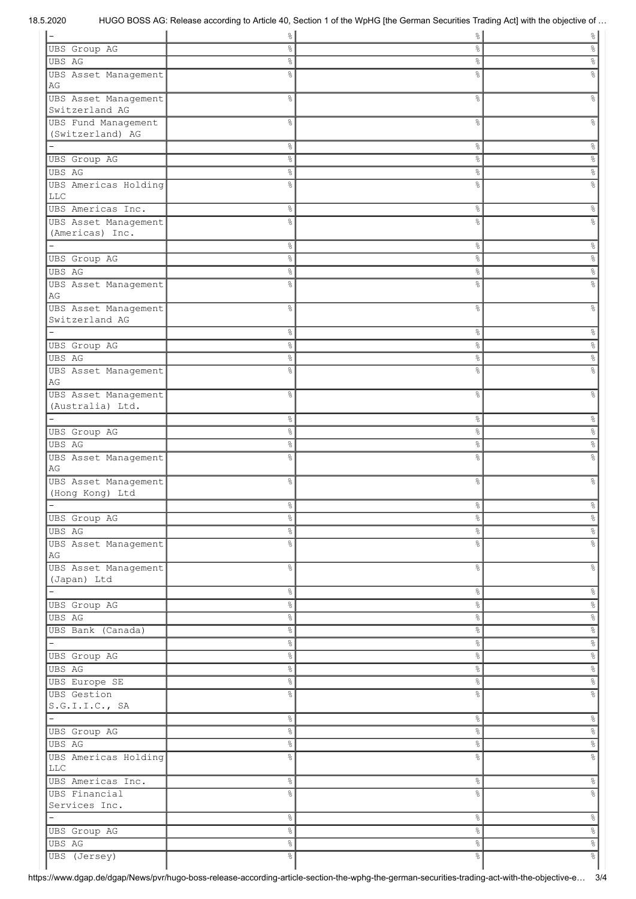| -                                    | $\frac{1}{6}$ | $\frac{1}{6}$        | $\frac{1}{6}$        |
|--------------------------------------|---------------|----------------------|----------------------|
| UBS Group AG                         | ిం            | 응                    | g,                   |
| <b>UBS AG</b>                        | $\frac{8}{6}$ | $\%$                 | နွ                   |
| UBS Asset Management                 | g.            | နွ                   | 옹                    |
| AG                                   |               |                      |                      |
| UBS Asset Management                 | g             | $\%$                 | 옹                    |
| Switzerland AG                       |               |                      |                      |
| UBS Fund Management                  | g             | $\%$                 | 옹                    |
| (Switzerland) AG                     |               |                      |                      |
|                                      | °             | $\%$                 | $\%$                 |
| UBS Group AG                         | $\frac{6}{6}$ | $\%$                 | $\%$                 |
| <b>UBS AG</b>                        | °             | $\%$                 | $\%$                 |
| UBS Americas Holding                 | g             | g.                   | g                    |
| <b>LLC</b>                           |               |                      |                      |
| UBS Americas Inc.                    | &             | $\%$                 | &                    |
| UBS Asset Management                 | ٥Ŗ            | o.                   | g                    |
| (Americas) Inc.                      |               |                      |                      |
| $\overline{\phantom{0}}$             | $\%$          | $\%$                 | &                    |
|                                      |               |                      |                      |
| UBS Group AG                         | °             | $\%$                 | %                    |
| UBS AG                               | $\%$          | $\frac{6}{\sqrt{2}}$ | %                    |
| UBS Asset Management                 | g<br>8        | 응                    | g                    |
| AG                                   |               |                      |                      |
| UBS Asset Management                 | 옹             | $\%$                 | &                    |
| Switzerland AG                       |               |                      |                      |
|                                      | °             | °                    | $\frac{6}{\sqrt{2}}$ |
| <b>UBS</b> Group AG                  | °             | $\%$                 | $\%$                 |
| UBS AG                               | °             | $\%$                 | $\infty$             |
| UBS Asset Management                 | 옹             | g.                   | g<br>8               |
| AG                                   |               |                      |                      |
| UBS Asset Management                 | 옹             | °                    | &                    |
| (Australia) Ltd.                     |               |                      |                      |
|                                      | °             | °                    | $\frac{6}{\sqrt{2}}$ |
| UBS Group AG                         | °             | $\%$                 | $\%$                 |
| UBS AG                               | °             | $\%$                 | $\%$                 |
| UBS Asset Management                 | g<br>6        | g.                   | g                    |
| AG                                   |               |                      |                      |
| UBS Asset Management                 | 옹             | $\%$                 | g                    |
| (Hong Kong) Ltd                      |               |                      |                      |
|                                      | ٩,            | $\frac{1}{2}$        |                      |
| <b>UBS</b> Group AG                  | $\%$          | e,                   | $\%$                 |
| <b>UBS AG</b>                        | $\frac{1}{6}$ | $\frac{1}{\sqrt{2}}$ | $\infty$             |
|                                      |               |                      |                      |
| UBS Asset Management<br>AG           | °             | g.                   | $\%$                 |
|                                      |               |                      |                      |
| UBS Asset Management                 | °             | $\frac{1}{6}$        | $\epsilon$           |
| (Japan) Ltd                          |               |                      |                      |
|                                      | $\frac{8}{6}$ | $\frac{6}{5}$        | $\%$                 |
| UBS Group AG                         | $\%$          | $\frac{1}{\delta}$   | $\%$                 |
| <b>UBS AG</b>                        | $\%$          | $\frac{1}{\sqrt{2}}$ | $\delta^{\rm o}$     |
| UBS Bank (Canada)                    | $\%$          | $\infty$             | $\delta^{\rm o}$     |
| Ξ.                                   | $\%$          | $\frac{1}{\sqrt{2}}$ | $\frac{\circ}{6}$    |
| UBS Group AG                         | $\%$          | $\frac{1}{\delta}$   | $\frac{6}{\sqrt{2}}$ |
| <b>UBS AG</b>                        | $\%$          | $\frac{1}{\sqrt{2}}$ | $\frac{\circ}{6}$    |
| UBS Europe SE                        | $\%$          | $\infty$             | $\delta^{\rm o}$     |
| <b>UBS</b> Gestion                   | 옹             | $\frac{8}{6}$        | $\%$                 |
| S.G.I.I.C., SA                       |               |                      |                      |
| $\mathbf{r}$                         | $\%$          | $\frac{1}{6}$        | $\%$                 |
| <b>UBS</b> Group AG                  | °             | $\infty$             | $\%$                 |
| <b>UBS AG</b>                        | °             | $\frac{6}{6}$        | $\%$                 |
|                                      |               |                      |                      |
| UBS Americas Holding<br>$_{\rm LLC}$ | 옹             | g.                   | $\%$                 |
|                                      |               |                      |                      |
| UBS Americas Inc.                    | $\%$          | $\frac{6}{6}$        | $\%$                 |
| UBS Financial                        | e<br>8        | g.                   | $\%$                 |
| Services Inc.                        |               |                      |                      |
| $\overline{\phantom{0}}$             | $\%$          | $\frac{1}{6}$        | $\%$                 |
| <b>UBS</b> Group AG                  | $\%$          | $\frac{1}{\sqrt{2}}$ | $\frac{1}{\sqrt{2}}$ |
| <b>UBS AG</b>                        | $\%$          | $\frac{1}{6}$        | $\frac{1}{\sqrt{2}}$ |
| UBS (Jersey)                         | $\%$          | $\frac{8}{6}$        | $\delta_0$           |
|                                      |               |                      |                      |